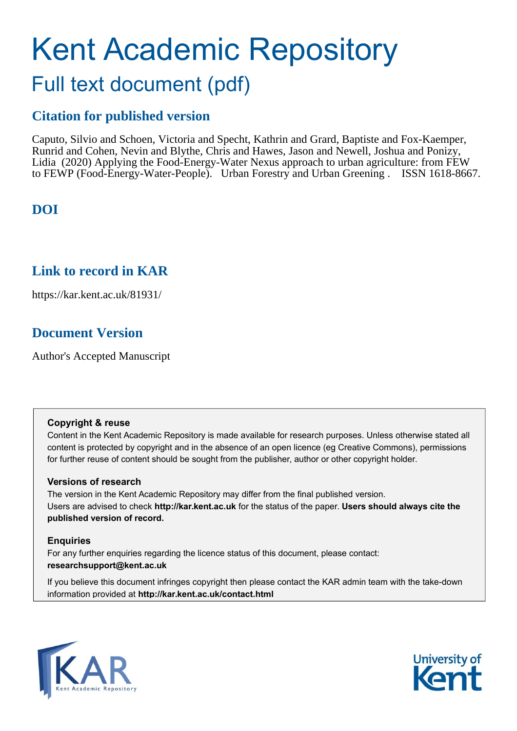# Kent Academic Repository Full text document (pdf)

# **Citation for published version**

Caputo, Silvio and Schoen, Victoria and Specht, Kathrin and Grard, Baptiste and Fox-Kaemper, Runrid and Cohen, Nevin and Blythe, Chris and Hawes, Jason and Newell, Joshua and Ponizy, Lidia (2020) Applying the Food-Energy-Water Nexus approach to urban agriculture: from FEW to FEWP (Food-Energy-Water-People). Urban Forestry and Urban Greening . ISSN 1618-8667.

## **DOI**

### **Link to record in KAR**

https://kar.kent.ac.uk/81931/

## **Document Version**

Author's Accepted Manuscript

### **Copyright & reuse**

Content in the Kent Academic Repository is made available for research purposes. Unless otherwise stated all content is protected by copyright and in the absence of an open licence (eg Creative Commons), permissions for further reuse of content should be sought from the publisher, author or other copyright holder.

### **Versions of research**

The version in the Kent Academic Repository may differ from the final published version. Users are advised to check **http://kar.kent.ac.uk** for the status of the paper. **Users should always cite the published version of record.**

### **Enquiries**

For any further enquiries regarding the licence status of this document, please contact: **researchsupport@kent.ac.uk**

If you believe this document infringes copyright then please contact the KAR admin team with the take-down information provided at **http://kar.kent.ac.uk/contact.html**



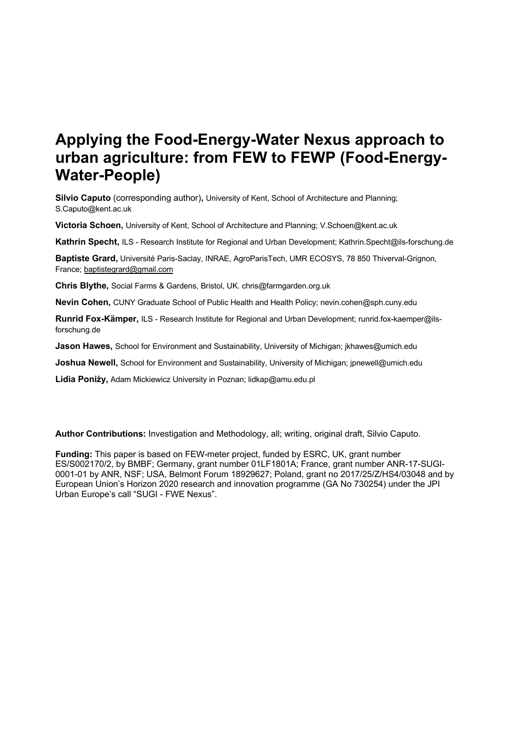# **Applying the Food-Energy-Water Nexus approach to urban agriculture: from FEW to FEWP (Food-Energy-Water-People)**

**Silvio Caputo** (corresponding author)**,** University of Kent, School of Architecture and Planning; S.Caputo@kent.ac.uk

**Victoria Schoen,** University of Kent, School of Architecture and Planning; V.Schoen@kent.ac.uk

**Kathrin Specht,** ILS - Research Institute for Regional and Urban Development; Kathrin.Specht@ils-forschung.de

**Baptiste Grard,** Université Paris-Saclay, INRAE, AgroParisTech, UMR ECOSYS, 78 850 Thiverval-Grignon, France; baptistegrard@gmail.com

**Chris Blythe,** Social Farms & Gardens, Bristol, UK. chris@farmgarden.org.uk

**Nevin Cohen,** CUNY Graduate School of Public Health and Health Policy; nevin.cohen@sph.cuny.edu

**Runrid Fox-Kämper,** ILS - Research Institute for Regional and Urban Development; runrid.fox-kaemper@ilsforschung.de

**Jason Hawes,** School for Environment and Sustainability, University of Michigan; jkhawes@umich.edu

**Joshua Newell,** School for Environment and Sustainability, University of Michigan; jpnewell@umich.edu

**Lidia Poniży,** Adam Mickiewicz University in Poznan; lidkap@amu.edu.pl

**Author Contributions:** Investigation and Methodology, all; writing, original draft, Silvio Caputo.

**Funding:** This paper is based on FEW-meter project, funded by ESRC, UK, grant number ES/S002170/2, by BMBF; Germany, grant number 01LF1801A; France, grant number ANR-17-SUGI-0001-01 by ANR, NSF; USA, Belmont Forum 18929627; Poland, grant no 2017/25/Z/HS4/03048 and by European Union's Horizon 2020 research and innovation programme (GA No 730254) under the JPI Urban Europe's call "SUGI - FWE Nexus".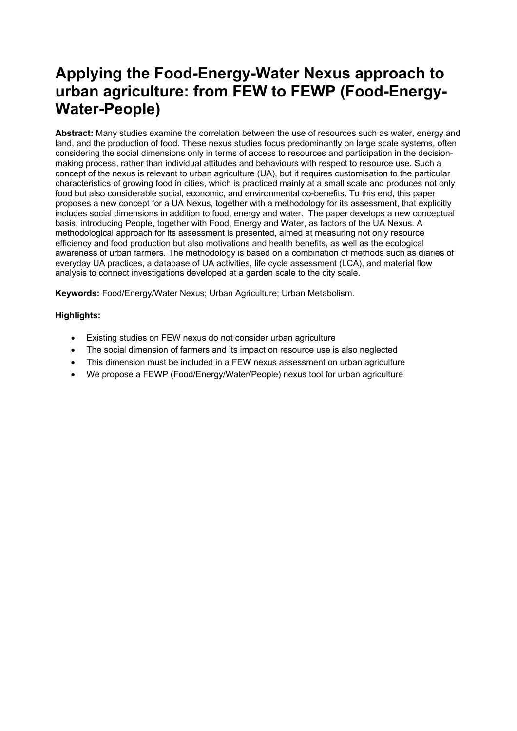# **Applying the Food-Energy-Water Nexus approach to urban agriculture: from FEW to FEWP (Food-Energy-Water-People)**

**Abstract:** Many studies examine the correlation between the use of resources such as water, energy and land, and the production of food. These nexus studies focus predominantly on large scale systems, often considering the social dimensions only in terms of access to resources and participation in the decisionmaking process, rather than individual attitudes and behaviours with respect to resource use. Such a concept of the nexus is relevant to urban agriculture (UA), but it requires customisation to the particular characteristics of growing food in cities, which is practiced mainly at a small scale and produces not only food but also considerable social, economic, and environmental co-benefits. To this end, this paper proposes a new concept for a UA Nexus, together with a methodology for its assessment, that explicitly includes social dimensions in addition to food, energy and water. The paper develops a new conceptual basis, introducing People, together with Food, Energy and Water, as factors of the UA Nexus. A methodological approach for its assessment is presented, aimed at measuring not only resource efficiency and food production but also motivations and health benefits, as well as the ecological awareness of urban farmers. The methodology is based on a combination of methods such as diaries of everyday UA practices, a database of UA activities, life cycle assessment (LCA), and material flow analysis to connect investigations developed at a garden scale to the city scale.

**Keywords:** Food/Energy/Water Nexus; Urban Agriculture; Urban Metabolism.

#### **Highlights:**

- Existing studies on FEW nexus do not consider urban agriculture
- The social dimension of farmers and its impact on resource use is also neglected
- This dimension must be included in a FEW nexus assessment on urban agriculture
- We propose a FEWP (Food/Energy/Water/People) nexus tool for urban agriculture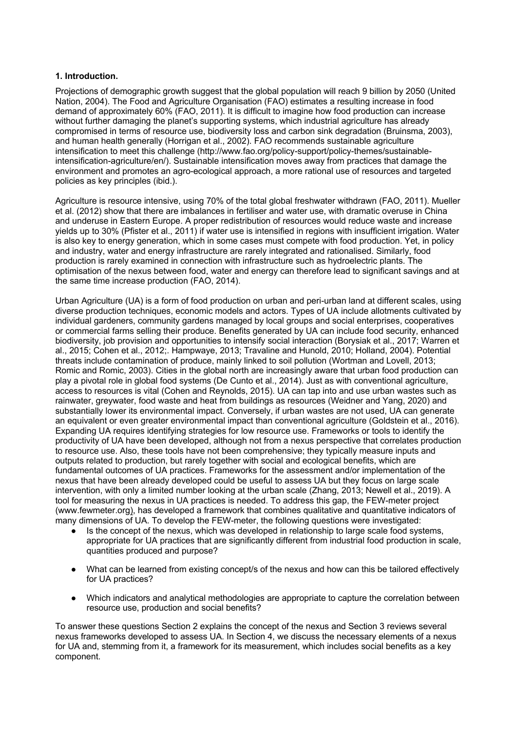#### **1. Introduction.**

Projections of demographic growth suggest that the global population will reach 9 billion by 2050 (United Nation, 2004). The Food and Agriculture Organisation (FAO) estimates a resulting increase in food demand of approximately 60% (FAO, 2011). It is difficult to imagine how food production can increase without further damaging the planet's supporting systems, which industrial agriculture has already compromised in terms of resource use, biodiversity loss and carbon sink degradation (Bruinsma, 2003), and human health generally (Horrigan et al., 2002). FAO recommends sustainable agriculture intensification to meet this challenge (http://www.fao.org/policy-support/policy-themes/sustainableintensification-agriculture/en/). Sustainable intensification moves away from practices that damage the environment and promotes an agro-ecological approach, a more rational use of resources and targeted policies as key principles (ibid.).

Agriculture is resource intensive, using 70% of the total global freshwater withdrawn (FAO, 2011). Mueller et al. (2012) show that there are imbalances in fertiliser and water use, with dramatic overuse in China and underuse in Eastern Europe. A proper redistribution of resources would reduce waste and increase yields up to 30% (Pfister et al., 2011) if water use is intensified in regions with insufficient irrigation. Water is also key to energy generation, which in some cases must compete with food production. Yet, in policy and industry, water and energy infrastructure are rarely integrated and rationalised. Similarly, food production is rarely examined in connection with infrastructure such as hydroelectric plants. The optimisation of the nexus between food, water and energy can therefore lead to significant savings and at the same time increase production (FAO, 2014).

Urban Agriculture (UA) is a form of food production on urban and peri-urban land at different scales, using diverse production techniques, economic models and actors. Types of UA include allotments cultivated by individual gardeners, community gardens managed by local groups and social enterprises, cooperatives or commercial farms selling their produce. Benefits generated by UA can include food security, enhanced biodiversity, job provision and opportunities to intensify social interaction (Borysiak et al., 2017; Warren et al., 2015; Cohen et al., 2012;. Hampwaye, 2013; Travaline and Hunold, 2010; Holland, 2004). Potential threats include contamination of produce, mainly linked to soil pollution (Wortman and Lovell, 2013; Romic and Romic, 2003). Cities in the global north are increasingly aware that urban food production can play a pivotal role in global food systems (De Cunto et al., 2014). Just as with conventional agriculture, access to resources is vital (Cohen and Reynolds, 2015). UA can tap into and use urban wastes such as rainwater, greywater, food waste and heat from buildings as resources (Weidner and Yang, 2020) and substantially lower its environmental impact. Conversely, if urban wastes are not used, UA can generate an equivalent or even greater environmental impact than conventional agriculture (Goldstein et al., 2016). Expanding UA requires identifying strategies for low resource use. Frameworks or tools to identify the productivity of UA have been developed, although not from a nexus perspective that correlates production to resource use. Also, these tools have not been comprehensive; they typically measure inputs and outputs related to production, but rarely together with social and ecological benefits, which are fundamental outcomes of UA practices. Frameworks for the assessment and/or implementation of the nexus that have been already developed could be useful to assess UA but they focus on large scale intervention, with only a limited number looking at the urban scale (Zhang, 2013; Newell et al., 2019). A tool for measuring the nexus in UA practices is needed. To address this gap, the FEW-meter project (www.fewmeter.org), has developed a framework that combines qualitative and quantitative indicators of many dimensions of UA. To develop the FEW-meter, the following questions were investigated:

- Is the concept of the nexus, which was developed in relationship to large scale food systems, appropriate for UA practices that are significantly different from industrial food production in scale, quantities produced and purpose?
- What can be learned from existing concept/s of the nexus and how can this be tailored effectively for UA practices?
- Which indicators and analytical methodologies are appropriate to capture the correlation between resource use, production and social benefits?

To answer these questions Section 2 explains the concept of the nexus and Section 3 reviews several nexus frameworks developed to assess UA. In Section 4, we discuss the necessary elements of a nexus for UA and, stemming from it, a framework for its measurement, which includes social benefits as a key component.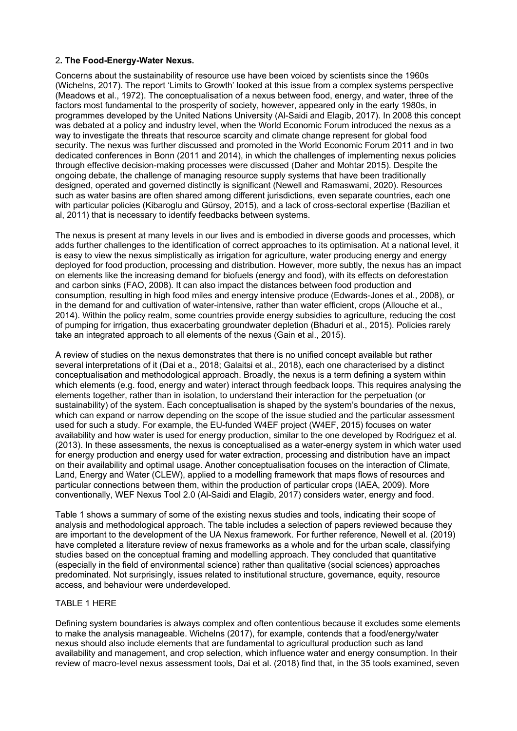#### 2**. The Food-Energy-Water Nexus.**

Concerns about the sustainability of resource use have been voiced by scientists since the 1960s (Wichelns, 2017). The report 'Limits to Growth' looked at this issue from a complex systems perspective (Meadows et al., 1972). The conceptualisation of a nexus between food, energy, and water, three of the factors most fundamental to the prosperity of society, however, appeared only in the early 1980s, in programmes developed by the United Nations University (Al-Saidi and Elagib, 2017). In 2008 this concept was debated at a policy and industry level, when the World Economic Forum introduced the nexus as a way to investigate the threats that resource scarcity and climate change represent for global food security. The nexus was further discussed and promoted in the World Economic Forum 2011 and in two dedicated conferences in Bonn (2011 and 2014), in which the challenges of implementing nexus policies through effective decision-making processes were discussed (Daher and Mohtar 2015). Despite the ongoing debate, the challenge of managing resource supply systems that have been traditionally designed, operated and governed distinctly is significant (Newell and Ramaswami, 2020). Resources such as water basins are often shared among different jurisdictions, even separate countries, each one with particular policies (Kibaroglu and Gürsoy, 2015), and a lack of cross-sectoral expertise (Bazilian et al, 2011) that is necessary to identify feedbacks between systems.

The nexus is present at many levels in our lives and is embodied in diverse goods and processes, which adds further challenges to the identification of correct approaches to its optimisation. At a national level, it is easy to view the nexus simplistically as irrigation for agriculture, water producing energy and energy deployed for food production, processing and distribution. However, more subtly, the nexus has an impact on elements like the increasing demand for biofuels (energy and food), with its effects on deforestation and carbon sinks (FAO, 2008). It can also impact the distances between food production and consumption, resulting in high food miles and energy intensive produce (Edwards-Jones et al., 2008), or in the demand for and cultivation of water-intensive, rather than water efficient, crops (Allouche et al., 2014). Within the policy realm, some countries provide energy subsidies to agriculture, reducing the cost of pumping for irrigation, thus exacerbating groundwater depletion (Bhaduri et al., 2015). Policies rarely take an integrated approach to all elements of the nexus (Gain et al., 2015).

A review of studies on the nexus demonstrates that there is no unified concept available but rather several interpretations of it (Dai et a., 2018; Galaitsi et al., 2018), each one characterised by a distinct conceptualisation and methodological approach. Broadly, the nexus is a term defining a system within which elements (e.g. food, energy and water) interact through feedback loops. This requires analysing the elements together, rather than in isolation, to understand their interaction for the perpetuation (or sustainability) of the system. Each conceptualisation is shaped by the system's boundaries of the nexus, which can expand or narrow depending on the scope of the issue studied and the particular assessment used for such a study. For example, the EU-funded W4EF project (W4EF, 2015) focuses on water availability and how water is used for energy production, similar to the one developed by Rodriguez et al. (2013). In these assessments, the nexus is conceptualised as a water-energy system in which water used for energy production and energy used for water extraction, processing and distribution have an impact on their availability and optimal usage. Another conceptualisation focuses on the interaction of Climate, Land, Energy and Water (CLEW), applied to a modelling framework that maps flows of resources and particular connections between them, within the production of particular crops (IAEA, 2009). More conventionally, WEF Nexus Tool 2.0 (Al-Saidi and Elagib, 2017) considers water, energy and food.

Table 1 shows a summary of some of the existing nexus studies and tools, indicating their scope of analysis and methodological approach. The table includes a selection of papers reviewed because they are important to the development of the UA Nexus framework. For further reference, Newell et al. (2019) have completed a literature review of nexus frameworks as a whole and for the urban scale, classifying studies based on the conceptual framing and modelling approach. They concluded that quantitative (especially in the field of environmental science) rather than qualitative (social sciences) approaches predominated. Not surprisingly, issues related to institutional structure, governance, equity, resource access, and behaviour were underdeveloped.

#### TABLE 1 HERE

Defining system boundaries is always complex and often contentious because it excludes some elements to make the analysis manageable. Wichelns (2017), for example, contends that a food/energy/water nexus should also include elements that are fundamental to agricultural production such as land availability and management, and crop selection, which influence water and energy consumption. In their review of macro-level nexus assessment tools, Dai et al. (2018) find that, in the 35 tools examined, seven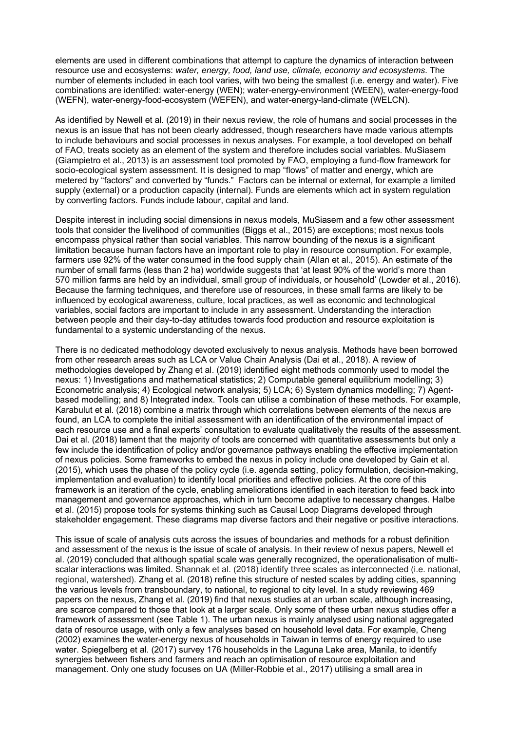elements are used in different combinations that attempt to capture the dynamics of interaction between resource use and ecosystems: *water, energy, food, land use, climate, economy and ecosystems*. The number of elements included in each tool varies, with two being the smallest (i.e. energy and water). Five combinations are identified: water-energy (WEN); water-energy-environment (WEEN), water-energy-food (WEFN), water-energy-food-ecosystem (WEFEN), and water-energy-land-climate (WELCN).

As identified by Newell et al. (2019) in their nexus review, the role of humans and social processes in the nexus is an issue that has not been clearly addressed, though researchers have made various attempts to include behaviours and social processes in nexus analyses. For example, a tool developed on behalf of FAO, treats society as an element of the system and therefore includes social variables. MuSiasem (Giampietro et al., 2013) is an assessment tool promoted by FAO, employing a fund-flow framework for socio-ecological system assessment. It is designed to map "flows" of matter and energy, which are metered by "factors" and converted by "funds." Factors can be internal or external, for example a limited supply (external) or a production capacity (internal). Funds are elements which act in system regulation by converting factors. Funds include labour, capital and land.

Despite interest in including social dimensions in nexus models, MuSiasem and a few other assessment tools that consider the livelihood of communities (Biggs et al., 2015) are exceptions; most nexus tools encompass physical rather than social variables. This narrow bounding of the nexus is a significant limitation because human factors have an important role to play in resource consumption. For example, farmers use 92% of the water consumed in the food supply chain (Allan et al., 2015). An estimate of the number of small farms (less than 2 ha) worldwide suggests that 'at least 90% of the world's more than 570 million farms are held by an individual, small group of individuals, or household' (Lowder et al., 2016). Because the farming techniques, and therefore use of resources, in these small farms are likely to be influenced by ecological awareness, culture, local practices, as well as economic and technological variables, social factors are important to include in any assessment. Understanding the interaction between people and their day-to-day attitudes towards food production and resource exploitation is fundamental to a systemic understanding of the nexus.

There is no dedicated methodology devoted exclusively to nexus analysis. Methods have been borrowed from other research areas such as LCA or Value Chain Analysis (Dai et al., 2018). A review of methodologies developed by Zhang et al. (2019) identified eight methods commonly used to model the nexus: 1) Investigations and mathematical statistics; 2) Computable general equilibrium modelling; 3) Econometric analysis; 4) Ecological network analysis; 5) LCA; 6) System dynamics modelling; 7) Agentbased modelling; and 8) Integrated index. Tools can utilise a combination of these methods. For example, Karabulut et al. (2018) combine a matrix through which correlations between elements of the nexus are found, an LCA to complete the initial assessment with an identification of the environmental impact of each resource use and a final experts' consultation to evaluate qualitatively the results of the assessment. Dai et al. (2018) lament that the majority of tools are concerned with quantitative assessments but only a few include the identification of policy and/or governance pathways enabling the effective implementation of nexus policies. Some frameworks to embed the nexus in policy include one developed by Gain et al. (2015), which uses the phase of the policy cycle (i.e. agenda setting, policy formulation, decision-making, implementation and evaluation) to identify local priorities and effective policies. At the core of this framework is an iteration of the cycle, enabling ameliorations identified in each iteration to feed back into management and governance approaches, which in turn become adaptive to necessary changes. Halbe et al. (2015) propose tools for systems thinking such as Causal Loop Diagrams developed through stakeholder engagement. These diagrams map diverse factors and their negative or positive interactions.

This issue of scale of analysis cuts across the issues of boundaries and methods for a robust definition and assessment of the nexus is the issue of scale of analysis. In their review of nexus papers, Newell et al. (2019) concluded that although spatial scale was generally recognized, the operationalisation of multiscalar interactions was limited. Shannak et al. (2018) identify three scales as interconnected (i.e. national, regional, watershed). Zhang et al. (2018) refine this structure of nested scales by adding cities, spanning the various levels from transboundary, to national, to regional to city level. In a study reviewing 469 papers on the nexus, Zhang et al. (2019) find that nexus studies at an urban scale, although increasing, are scarce compared to those that look at a larger scale. Only some of these urban nexus studies offer a framework of assessment (see Table 1). The urban nexus is mainly analysed using national aggregated data of resource usage, with only a few analyses based on household level data. For example, Cheng (2002) examines the water-energy nexus of households in Taiwan in terms of energy required to use water. Spiegelberg et al. (2017) survey 176 households in the Laguna Lake area, Manila, to identify synergies between fishers and farmers and reach an optimisation of resource exploitation and management. Only one study focuses on UA (Miller-Robbie et al., 2017) utilising a small area in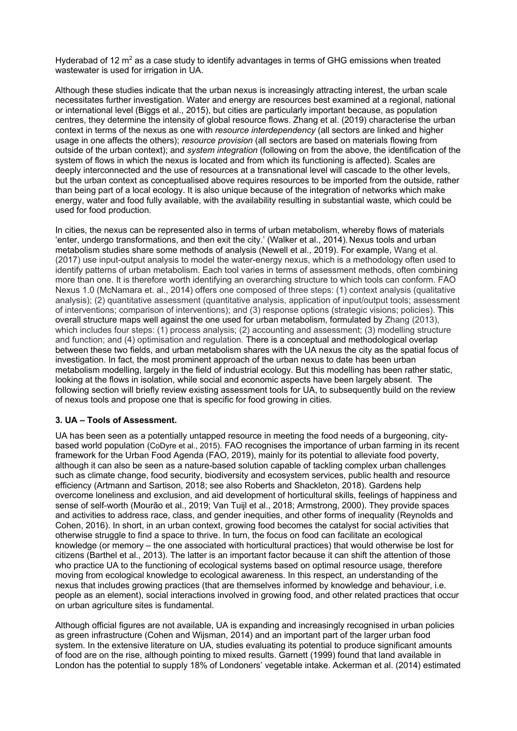Hyderabad of 12  $m<sup>2</sup>$  as a case study to identify advantages in terms of GHG emissions when treated wastewater is used for irrigation in UA.

Although these studies indicate that the urban nexus is increasingly attracting interest, the urban scale necessitates further investigation. Water and energy are resources best examined at a regional, national or international level (Biggs et al., 2015), but cities are particularly important because, as population centres, they determine the intensity of global resource flows. Zhang et al. (2019) characterise the urban context in terms of the nexus as one with *resource interdependency* (all sectors are linked and higher usage in one affects the others); *resource provision* (all sectors are based on materials flowing from outside of the urban context); and *system integration* (following on from the above, the identification of the system of flows in which the nexus is located and from which its functioning is affected). Scales are deeply interconnected and the use of resources at a transnational level will cascade to the other levels, but the urban context as conceptualised above requires resources to be imported from the outside, rather than being part of a local ecology. It is also unique because of the integration of networks which make energy, water and food fully available, with the availability resulting in substantial waste, which could be used for food production.

In cities, the nexus can be represented also in terms of urban metabolism, whereby flows of materials 'enter, undergo transformations, and then exit the city.' (Walker et al., 2014). Nexus tools and urban metabolism studies share some methods of analysis (Newell et al., 2019). For example, Wang et al. (2017) use input-output analysis to model the water-energy nexus, which is a methodology often used to identify patterns of urban metabolism. Each tool varies in terms of assessment methods, often combining more than one. It is therefore worth identifying an overarching structure to which tools can conform. FAO Nexus 1.0 (McNamara et. al., 2014) offers one composed of three steps: (1) context analysis (qualitative analysis); (2) quantitative assessment (quantitative analysis, application of input/output tools; assessment of interventions; comparison of interventions); and (3) response options (strategic visions; policies). This overall structure maps well against the one used for urban metabolism, formulated by Zhang (2013), which includes four steps: (1) process analysis; (2) accounting and assessment; (3) modelling structure and function; and (4) optimisation and regulation. There is a conceptual and methodological overlap between these two fields, and urban metabolism shares with the UA nexus the city as the spatial focus of investigation. In fact, the most prominent approach of the urban nexus to date has been urban metabolism modelling, largely in the field of industrial ecology. But this modelling has been rather static, looking at the flows in isolation, while social and economic aspects have been largely absent. The following section will briefly review existing assessment tools for UA, to subsequently build on the review of nexus tools and propose one that is specific for food growing in cities.

#### **3. UA – Tools of Assessment.**

UA has been seen as a potentially untapped resource in meeting the food needs of a burgeoning, citybased world population (CoDyre et al., 2015). FAO recognises the importance of urban farming in its recent framework for the Urban Food Agenda (FAO, 2019), mainly for its potential to alleviate food poverty, although it can also be seen as a nature-based solution capable of tackling complex urban challenges such as climate change, food security, biodiversity and ecosystem services, public health and resource efficiency (Artmann and Sartison, 2018; see also Roberts and Shackleton, 2018). Gardens help overcome loneliness and exclusion, and aid development of horticultural skills, feelings of happiness and sense of self-worth (Mourão et al., 2019; Van Tuijl et al., 2018; Armstrong, 2000). They provide spaces and activities to address race, class, and gender inequities, and other forms of inequality (Reynolds and Cohen, 2016). In short, in an urban context, growing food becomes the catalyst for social activities that otherwise struggle to find a space to thrive. In turn, the focus on food can facilitate an ecological knowledge (or memory – the one associated with horticultural practices) that would otherwise be lost for citizens (Barthel et al., 2013). The latter is an important factor because it can shift the attention of those who practice UA to the functioning of ecological systems based on optimal resource usage, therefore moving from ecological knowledge to ecological awareness. In this respect, an understanding of the nexus that includes growing practices (that are themselves informed by knowledge and behaviour, i.e. people as an element), social interactions involved in growing food, and other related practices that occur on urban agriculture sites is fundamental.

Although official figures are not available, UA is expanding and increasingly recognised in urban policies as green infrastructure (Cohen and Wijsman, 2014) and an important part of the larger urban food system. In the extensive literature on UA, studies evaluating its potential to produce significant amounts of food are on the rise, although pointing to mixed results. Garnett (1999) found that land available in London has the potential to supply 18% of Londoners' vegetable intake. Ackerman et al. (2014) estimated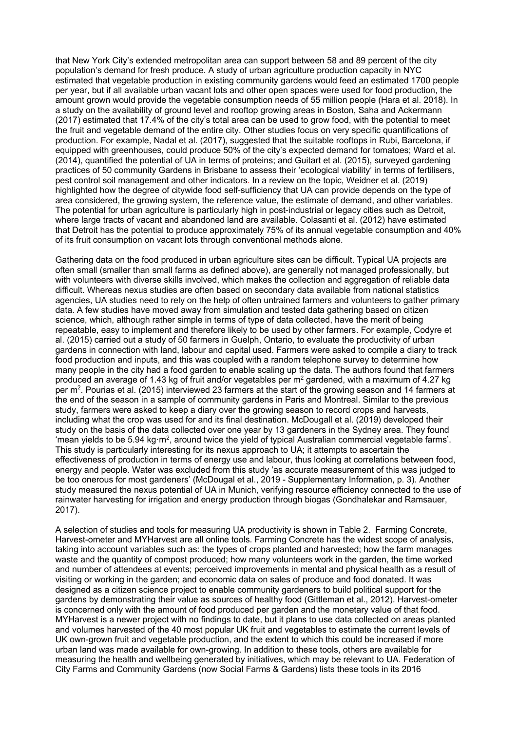that New York City's extended metropolitan area can support between 58 and 89 percent of the city population's demand for fresh produce. A study of urban agriculture production capacity in NYC estimated that vegetable production in existing community gardens would feed an estimated 1700 people per year, but if all available urban vacant lots and other open spaces were used for food production, the amount grown would provide the vegetable consumption needs of 55 million people (Hara et al. 2018). In a study on the availability of ground level and rooftop growing areas in Boston, Saha and Ackermann (2017) estimated that 17.4% of the city's total area can be used to grow food, with the potential to meet the fruit and vegetable demand of the entire city. Other studies focus on very specific quantifications of production. For example, Nadal et al. (2017), suggested that the suitable rooftops in Rubi, Barcelona, if equipped with greenhouses, could produce 50% of the city's expected demand for tomatoes; Ward et al. (2014), quantified the potential of UA in terms of proteins; and Guitart et al. (2015), surveyed gardening practices of 50 community Gardens in Brisbane to assess their 'ecological viability' in terms of fertilisers, pest control soil management and other indicators. In a review on the topic, Weidner et al. (2019) highlighted how the degree of citywide food self-sufficiency that UA can provide depends on the type of area considered, the growing system, the reference value, the estimate of demand, and other variables. The potential for urban agriculture is particularly high in post-industrial or legacy cities such as Detroit, where large tracts of vacant and abandoned land are available. Colasanti et al. (2012) have estimated that Detroit has the potential to produce approximately 75% of its annual vegetable consumption and 40% of its fruit consumption on vacant lots through conventional methods alone.

Gathering data on the food produced in urban agriculture sites can be difficult. Typical UA projects are often small (smaller than small farms as defined above), are generally not managed professionally, but with volunteers with diverse skills involved, which makes the collection and aggregation of reliable data difficult. Whereas nexus studies are often based on secondary data available from national statistics agencies, UA studies need to rely on the help of often untrained farmers and volunteers to gather primary data. A few studies have moved away from simulation and tested data gathering based on citizen science, which, although rather simple in terms of type of data collected, have the merit of being repeatable, easy to implement and therefore likely to be used by other farmers. For example, Codyre et al. (2015) carried out a study of 50 farmers in Guelph, Ontario, to evaluate the productivity of urban gardens in connection with land, labour and capital used. Farmers were asked to compile a diary to track food production and inputs, and this was coupled with a random telephone survey to determine how many people in the city had a food garden to enable scaling up the data. The authors found that farmers produced an average of 1.43 kg of fruit and/or vegetables per  $m<sup>2</sup>$  gardened, with a maximum of 4.27 kg per  $m^2$ . Pourias et al. (2015) interviewed 23 farmers at the start of the growing season and 14 farmers at the end of the season in a sample of community gardens in Paris and Montreal. Similar to the previous study, farmers were asked to keep a diary over the growing season to record crops and harvests, including what the crop was used for and its final destination. McDougall et al. (2019) developed their study on the basis of the data collected over one year by 13 gardeners in the Sydney area. They found 'mean yields to be 5.94 kg·m2, around twice the yield of typical Australian commercial vegetable farms'. This study is particularly interesting for its nexus approach to UA; it attempts to ascertain the effectiveness of production in terms of energy use and labour, thus looking at correlations between food, energy and people. Water was excluded from this study 'as accurate measurement of this was judged to be too onerous for most gardeners' (McDougal et al., 2019 - Supplementary Information, p. 3). Another study measured the nexus potential of UA in Munich, verifying resource efficiency connected to the use of rainwater harvesting for irrigation and energy production through biogas (Gondhalekar and Ramsauer, 2017).

A selection of studies and tools for measuring UA productivity is shown in Table 2. Farming Concrete, Harvest-ometer and MYHarvest are all online tools. Farming Concrete has the widest scope of analysis, taking into account variables such as: the types of crops planted and harvested; how the farm manages waste and the quantity of compost produced; how many volunteers work in the garden, the time worked and number of attendees at events; perceived improvements in mental and physical health as a result of visiting or working in the garden; and economic data on sales of produce and food donated. It was designed as a citizen science project to enable community gardeners to build political support for the gardens by demonstrating their value as sources of healthy food (Gittleman et al., 2012). Harvest-ometer is concerned only with the amount of food produced per garden and the monetary value of that food. MYHarvest is a newer project with no findings to date, but it plans to use data collected on areas planted and volumes harvested of the 40 most popular UK fruit and vegetables to estimate the current levels of UK own-grown fruit and vegetable production, and the extent to which this could be increased if more urban land was made available for own-growing. In addition to these tools, others are available for measuring the health and wellbeing generated by initiatives, which may be relevant to UA. Federation of City Farms and Community Gardens (now Social Farms & Gardens) lists these tools in its 2016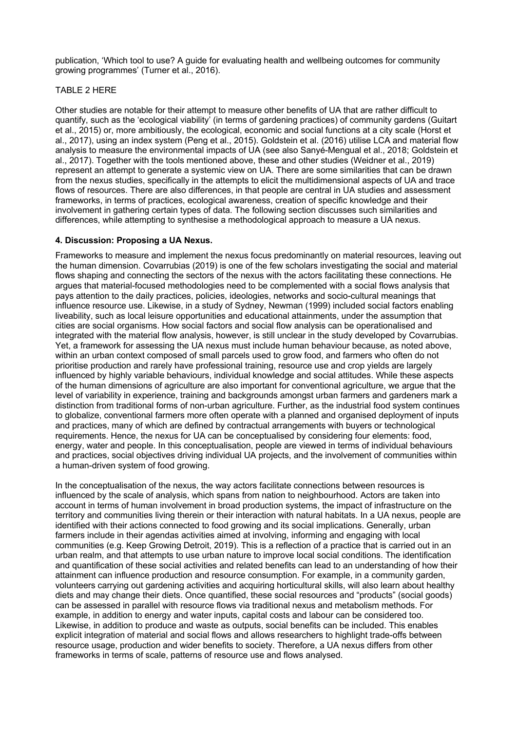publication, 'Which tool to use? A guide for evaluating health and wellbeing outcomes for community growing programmes' (Turner et al., 2016).

#### TABLE 2 HERE

Other studies are notable for their attempt to measure other benefits of UA that are rather difficult to quantify, such as the 'ecological viability' (in terms of gardening practices) of community gardens (Guitart et al., 2015) or, more ambitiously, the ecological, economic and social functions at a city scale (Horst et al., 2017), using an index system (Peng et al., 2015). Goldstein et al. (2016) utilise LCA and material flow analysis to measure the environmental impacts of UA (see also Sanyé-Mengual et al., 2018; Goldstein et al., 2017). Together with the tools mentioned above, these and other studies (Weidner et al., 2019) represent an attempt to generate a systemic view on UA. There are some similarities that can be drawn from the nexus studies, specifically in the attempts to elicit the multidimensional aspects of UA and trace flows of resources. There are also differences, in that people are central in UA studies and assessment frameworks, in terms of practices, ecological awareness, creation of specific knowledge and their involvement in gathering certain types of data. The following section discusses such similarities and differences, while attempting to synthesise a methodological approach to measure a UA nexus.

#### **4. Discussion: Proposing a UA Nexus.**

Frameworks to measure and implement the nexus focus predominantly on material resources, leaving out the human dimension. Covarrubias (2019) is one of the few scholars investigating the social and material flows shaping and connecting the sectors of the nexus with the actors facilitating these connections. He argues that material-focused methodologies need to be complemented with a social flows analysis that pays attention to the daily practices, policies, ideologies, networks and socio-cultural meanings that influence resource use. Likewise, in a study of Sydney, Newman (1999) included social factors enabling liveability, such as local leisure opportunities and educational attainments, under the assumption that cities are social organisms. How social factors and social flow analysis can be operationalised and integrated with the material flow analysis, however, is still unclear in the study developed by Covarrubias. Yet, a framework for assessing the UA nexus must include human behaviour because, as noted above, within an urban context composed of small parcels used to grow food, and farmers who often do not prioritise production and rarely have professional training, resource use and crop yields are largely influenced by highly variable behaviours, individual knowledge and social attitudes. While these aspects of the human dimensions of agriculture are also important for conventional agriculture, we argue that the level of variability in experience, training and backgrounds amongst urban farmers and gardeners mark a distinction from traditional forms of non-urban agriculture. Further, as the industrial food system continues to globalize, conventional farmers more often operate with a planned and organised deployment of inputs and practices, many of which are defined by contractual arrangements with buyers or technological requirements. Hence, the nexus for UA can be conceptualised by considering four elements: food, energy, water and people. In this conceptualisation, people are viewed in terms of individual behaviours and practices, social objectives driving individual UA projects, and the involvement of communities within a human-driven system of food growing.

In the conceptualisation of the nexus, the way actors facilitate connections between resources is influenced by the scale of analysis, which spans from nation to neighbourhood. Actors are taken into account in terms of human involvement in broad production systems, the impact of infrastructure on the territory and communities living therein or their interaction with natural habitats. In a UA nexus, people are identified with their actions connected to food growing and its social implications. Generally, urban farmers include in their agendas activities aimed at involving, informing and engaging with local communities (e.g. Keep Growing Detroit, 2019). This is a reflection of a practice that is carried out in an urban realm, and that attempts to use urban nature to improve local social conditions. The identification and quantification of these social activities and related benefits can lead to an understanding of how their attainment can influence production and resource consumption. For example, in a community garden, volunteers carrying out gardening activities and acquiring horticultural skills, will also learn about healthy diets and may change their diets. Once quantified, these social resources and "products" (social goods) can be assessed in parallel with resource flows via traditional nexus and metabolism methods. For example, in addition to energy and water inputs, capital costs and labour can be considered too. Likewise, in addition to produce and waste as outputs, social benefits can be included. This enables explicit integration of material and social flows and allows researchers to highlight trade-offs between resource usage, production and wider benefits to society. Therefore, a UA nexus differs from other frameworks in terms of scale, patterns of resource use and flows analysed.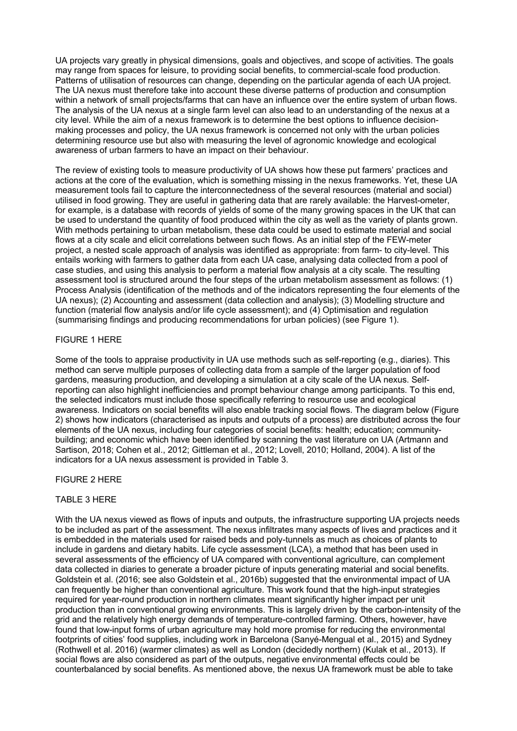UA projects vary greatly in physical dimensions, goals and objectives, and scope of activities. The goals may range from spaces for leisure, to providing social benefits, to commercial-scale food production. Patterns of utilisation of resources can change, depending on the particular agenda of each UA project. The UA nexus must therefore take into account these diverse patterns of production and consumption within a network of small projects/farms that can have an influence over the entire system of urban flows. The analysis of the UA nexus at a single farm level can also lead to an understanding of the nexus at a city level. While the aim of a nexus framework is to determine the best options to influence decisionmaking processes and policy, the UA nexus framework is concerned not only with the urban policies determining resource use but also with measuring the level of agronomic knowledge and ecological awareness of urban farmers to have an impact on their behaviour.

The review of existing tools to measure productivity of UA shows how these put farmers' practices and actions at the core of the evaluation, which is something missing in the nexus frameworks. Yet, these UA measurement tools fail to capture the interconnectedness of the several resources (material and social) utilised in food growing. They are useful in gathering data that are rarely available: the Harvest-ometer, for example, is a database with records of yields of some of the many growing spaces in the UK that can be used to understand the quantity of food produced within the city as well as the variety of plants grown. With methods pertaining to urban metabolism, these data could be used to estimate material and social flows at a city scale and elicit correlations between such flows. As an initial step of the FEW-meter project, a nested scale approach of analysis was identified as appropriate: from farm- to city-level. This entails working with farmers to gather data from each UA case, analysing data collected from a pool of case studies, and using this analysis to perform a material flow analysis at a city scale. The resulting assessment tool is structured around the four steps of the urban metabolism assessment as follows: (1) Process Analysis (identification of the methods and of the indicators representing the four elements of the UA nexus); (2) Accounting and assessment (data collection and analysis); (3) Modelling structure and function (material flow analysis and/or life cycle assessment); and (4) Optimisation and regulation (summarising findings and producing recommendations for urban policies) (see Figure 1).

#### FIGURE 1 HERE

Some of the tools to appraise productivity in UA use methods such as self-reporting (e.g., diaries). This method can serve multiple purposes of collecting data from a sample of the larger population of food gardens, measuring production, and developing a simulation at a city scale of the UA nexus. Selfreporting can also highlight inefficiencies and prompt behaviour change among participants. To this end, the selected indicators must include those specifically referring to resource use and ecological awareness. Indicators on social benefits will also enable tracking social flows. The diagram below (Figure 2) shows how indicators (characterised as inputs and outputs of a process) are distributed across the four elements of the UA nexus, including four categories of social benefits: health; education; communitybuilding; and economic which have been identified by scanning the vast literature on UA (Artmann and Sartison, 2018; Cohen et al., 2012; Gittleman et al., 2012; Lovell, 2010; Holland, 2004). A list of the indicators for a UA nexus assessment is provided in Table 3.

#### FIGURE 2 HERE

#### TABLE 3 HERE

With the UA nexus viewed as flows of inputs and outputs, the infrastructure supporting UA projects needs to be included as part of the assessment. The nexus infiltrates many aspects of lives and practices and it is embedded in the materials used for raised beds and poly-tunnels as much as choices of plants to include in gardens and dietary habits. Life cycle assessment (LCA), a method that has been used in several assessments of the efficiency of UA compared with conventional agriculture, can complement data collected in diaries to generate a broader picture of inputs generating material and social benefits. Goldstein et al. (2016; see also Goldstein et al., 2016b) suggested that the environmental impact of UA can frequently be higher than conventional agriculture. This work found that the high-input strategies required for year-round production in northern climates meant significantly higher impact per unit production than in conventional growing environments. This is largely driven by the carbon-intensity of the grid and the relatively high energy demands of temperature-controlled farming. Others, however, have found that low-input forms of urban agriculture may hold more promise for reducing the environmental footprints of cities' food supplies, including work in Barcelona (Sanyé-Mengual et al., 2015) and Sydney (Rothwell et al. 2016) (warmer climates) as well as London (decidedly northern) (Kulak et al., 2013). If social flows are also considered as part of the outputs, negative environmental effects could be counterbalanced by social benefits. As mentioned above, the nexus UA framework must be able to take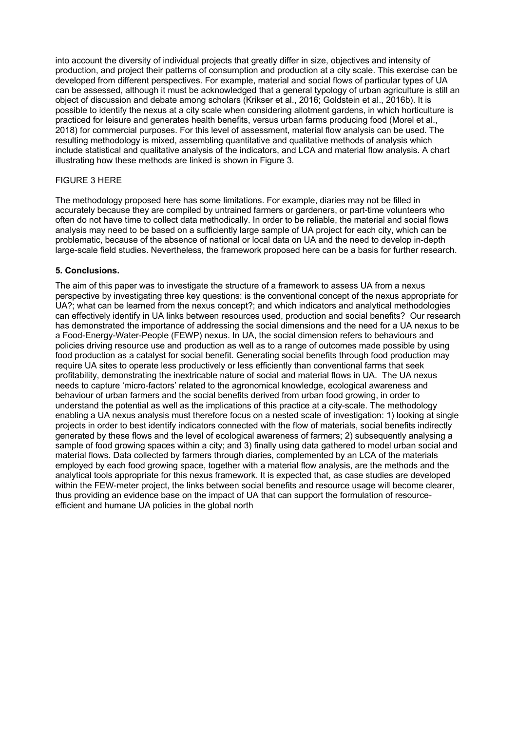into account the diversity of individual projects that greatly differ in size, objectives and intensity of production, and project their patterns of consumption and production at a city scale. This exercise can be developed from different perspectives. For example, material and social flows of particular types of UA can be assessed, although it must be acknowledged that a general typology of urban agriculture is still an object of discussion and debate among scholars (Krikser et al., 2016; Goldstein et al., 2016b). It is possible to identify the nexus at a city scale when considering allotment gardens, in which horticulture is practiced for leisure and generates health benefits, versus urban farms producing food (Morel et al., 2018) for commercial purposes. For this level of assessment, material flow analysis can be used. The resulting methodology is mixed, assembling quantitative and qualitative methods of analysis which include statistical and qualitative analysis of the indicators, and LCA and material flow analysis. A chart illustrating how these methods are linked is shown in Figure 3.

#### FIGURE 3 HERE

The methodology proposed here has some limitations. For example, diaries may not be filled in accurately because they are compiled by untrained farmers or gardeners, or part-time volunteers who often do not have time to collect data methodically. In order to be reliable, the material and social flows analysis may need to be based on a sufficiently large sample of UA project for each city, which can be problematic, because of the absence of national or local data on UA and the need to develop in-depth large-scale field studies. Nevertheless, the framework proposed here can be a basis for further research.

#### **5. Conclusions.**

The aim of this paper was to investigate the structure of a framework to assess UA from a nexus perspective by investigating three key questions: is the conventional concept of the nexus appropriate for UA?; what can be learned from the nexus concept?; and which indicators and analytical methodologies can effectively identify in UA links between resources used, production and social benefits? Our research has demonstrated the importance of addressing the social dimensions and the need for a UA nexus to be a Food-Energy-Water-People (FEWP) nexus. In UA, the social dimension refers to behaviours and policies driving resource use and production as well as to a range of outcomes made possible by using food production as a catalyst for social benefit. Generating social benefits through food production may require UA sites to operate less productively or less efficiently than conventional farms that seek profitability, demonstrating the inextricable nature of social and material flows in UA. The UA nexus needs to capture 'micro-factors' related to the agronomical knowledge, ecological awareness and behaviour of urban farmers and the social benefits derived from urban food growing, in order to understand the potential as well as the implications of this practice at a city-scale. The methodology enabling a UA nexus analysis must therefore focus on a nested scale of investigation: 1) looking at single projects in order to best identify indicators connected with the flow of materials, social benefits indirectly generated by these flows and the level of ecological awareness of farmers; 2) subsequently analysing a sample of food growing spaces within a city; and 3) finally using data gathered to model urban social and material flows. Data collected by farmers through diaries, complemented by an LCA of the materials employed by each food growing space, together with a material flow analysis, are the methods and the analytical tools appropriate for this nexus framework. It is expected that, as case studies are developed within the FEW-meter project, the links between social benefits and resource usage will become clearer, thus providing an evidence base on the impact of UA that can support the formulation of resourceefficient and humane UA policies in the global north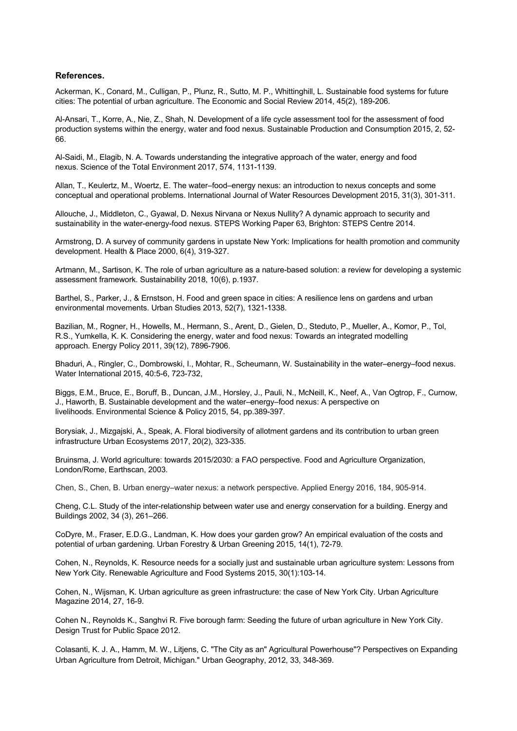#### **References.**

Ackerman, K., Conard, M., Culligan, P., Plunz, R., Sutto, M. P., Whittinghill, L. Sustainable food systems for future cities: The potential of urban agriculture. The Economic and Social Review 2014, 45(2), 189-206.

Al-Ansari, T., Korre, A., Nie, Z., Shah, N. Development of a life cycle assessment tool for the assessment of food production systems within the energy, water and food nexus. Sustainable Production and Consumption 2015, 2, 52- 66.

Al-Saidi, M., Elagib, N. A. Towards understanding the integrative approach of the water, energy and food nexus. Science of the Total Environment 2017, 574, 1131-1139.

Allan, T., Keulertz, M., Woertz, E. The water–food–energy nexus: an introduction to nexus concepts and some conceptual and operational problems. International Journal of Water Resources Development 2015, 31(3), 301-311.

Allouche, J., Middleton, C., Gyawal, D. Nexus Nirvana or Nexus Nullity? A dynamic approach to security and sustainability in the water-energy-food nexus. STEPS Working Paper 63, Brighton: STEPS Centre 2014.

Armstrong, D. A survey of community gardens in upstate New York: Implications for health promotion and community development. Health & Place 2000, 6(4), 319-327.

Artmann, M., Sartison, K. The role of urban agriculture as a nature-based solution: a review for developing a systemic assessment framework. Sustainability 2018, 10(6), p.1937.

Barthel, S., Parker, J., & Ernstson, H. Food and green space in cities: A resilience lens on gardens and urban environmental movements. Urban Studies 2013, 52(7), 1321-1338.

Bazilian, M., Rogner, H., Howells, M., Hermann, S., Arent, D., Gielen, D., Steduto, P., Mueller, A., Komor, P., Tol, R.S., Yumkella, K. K. Considering the energy, water and food nexus: Towards an integrated modelling approach. Energy Policy 2011, 39(12), 7896-7906.

Bhaduri, A., Ringler, C., Dombrowski, I., Mohtar, R., Scheumann, W. Sustainability in the water–energy–food nexus. Water International 2015, 40:5-6, 723-732,

Biggs, E.M., Bruce, E., Boruff, B., Duncan, J.M., Horsley, J., Pauli, N., McNeill, K., Neef, A., Van Ogtrop, F., Curnow, J., Haworth, B. Sustainable development and the water–energy–food nexus: A perspective on livelihoods. Environmental Science & Policy 2015, 54, pp.389-397.

Borysiak, J., Mizgajski, A., Speak, A. Floral biodiversity of allotment gardens and its contribution to urban green infrastructure Urban Ecosystems 2017, 20(2), 323-335.

Bruinsma, J. World agriculture: towards 2015/2030: a FAO perspective. Food and Agriculture Organization, London/Rome, Earthscan, 2003.

Chen, S., Chen, B. Urban energy–water nexus: a network perspective. Applied Energy 2016, 184, 905-914.

Cheng, C.L. Study of the inter-relationship between water use and energy conservation for a building. Energy and Buildings 2002, 34 (3), 261–266.

CoDyre, M., Fraser, E.D.G., Landman, K. How does your garden grow? An empirical evaluation of the costs and potential of urban gardening. Urban Forestry & Urban Greening 2015, 14(1), 72-79.

Cohen, N., Reynolds, K. Resource needs for a socially just and sustainable urban agriculture system: Lessons from New York City. Renewable Agriculture and Food Systems 2015, 30(1):103-14.

Cohen, N., Wijsman, K. Urban agriculture as green infrastructure: the case of New York City. Urban Agriculture Magazine 2014, 27, 16-9.

Cohen N., Reynolds K., Sanghvi R. Five borough farm: Seeding the future of urban agriculture in New York City. Design Trust for Public Space 2012.

Colasanti, K. J. A., Hamm, M. W., Litjens, C. "The City as an" Agricultural Powerhouse"? Perspectives on Expanding Urban Agriculture from Detroit, Michigan." Urban Geography, 2012, 33, 348-369.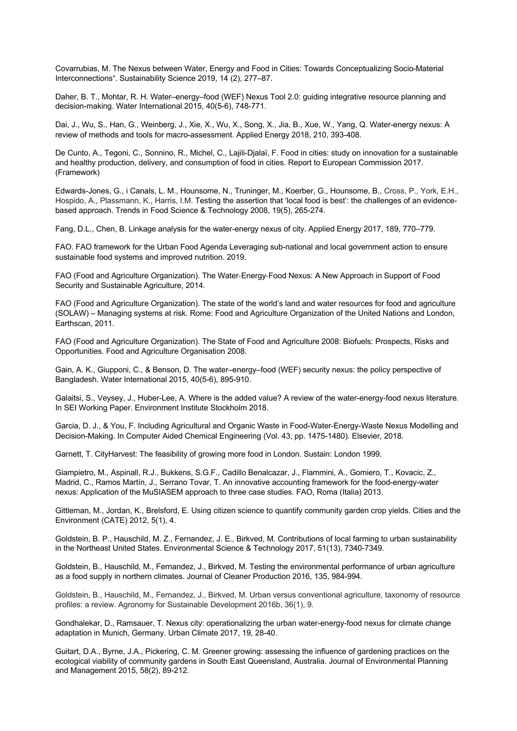Covarrubias, M. The Nexus between Water, Energy and Food in Cities: Towards Conceptualizing Socio-Material Interconnections". Sustainability Science 2019, 14 (2), 277–87.

Daher, B. T., Mohtar, R. H. Water–energy–food (WEF) Nexus Tool 2.0: guiding integrative resource planning and decision-making. Water International 2015, 40(5-6), 748-771.

Dai, J., Wu, S., Han, G., Weinberg, J., Xie, X., Wu, X., Song, X., Jia, B., Xue, W., Yang, Q. Water-energy nexus: A review of methods and tools for macro-assessment. Applied Energy 2018, 210, 393-408.

De Cunto, A., Tegoni, C., Sonnino, R., Michel, C., Lajili-Djalaï, F. Food in cities: study on innovation for a sustainable and healthy production, delivery, and consumption of food in cities. Report to European Commission 2017. (Framework)

Edwards-Jones, G., i Canals, L. M., Hounsome, N., Truninger, M., Koerber, G., Hounsome, B., Cross, P., York, E.H., Hospido, A., Plassmann, K., Harris, I.M. Testing the assertion that 'local food is best': the challenges of an evidencebased approach. Trends in Food Science & Technology 2008, 19(5), 265-274.

Fang, D.L., Chen, B. Linkage analysis for the water-energy nexus of city. Applied Energy 2017, 189, 770–779.

FAO. FAO framework for the Urban Food Agenda Leveraging sub-national and local government action to ensure sustainable food systems and improved nutrition. 2019.

FAO (Food and Agriculture Organization). The Water-Energy-Food Nexus: A New Approach in Support of Food Security and Sustainable Agriculture, 2014.

FAO (Food and Agriculture Organization). The state of the world's land and water resources for food and agriculture (SOLAW) – Managing systems at risk. Rome: Food and Agriculture Organization of the United Nations and London, Earthscan, 2011.

FAO (Food and Agriculture Organization). The State of Food and Agriculture 2008: Biofuels: Prospects, Risks and Opportunities. Food and Agriculture Organisation 2008.

Gain, A. K., Giupponi, C., & Benson, D. The water–energy–food (WEF) security nexus: the policy perspective of Bangladesh. Water International 2015, 40(5-6), 895-910.

Galaitsi, S., Veysey, J., Huber-Lee, A. Where is the added value? A review of the water-energy-food nexus literature. In SEI Working Paper. Environment Institute Stockholm 2018.

Garcia, D. J., & You, F. Including Agricultural and Organic Waste in Food-Water-Energy-Waste Nexus Modelling and Decision-Making. In Computer Aided Chemical Engineering (Vol. 43, pp. 1475-1480). Elsevier, 2018.

Garnett, T. CityHarvest: The feasibility of growing more food in London. Sustain: London 1999.

Giampietro, M., Aspinall, R.J., Bukkens, S.G.F., Cadillo Benalcazar, J., Flammini, A., Gomiero, T., Kovacic, Z., Madrid, C., Ramos Martín, J., Serrano Tovar, T. An innovative accounting framework for the food-energy-water nexus: Application of the MuSIASEM approach to three case studies. FAO, Roma (Italia) 2013.

Gittleman, M., Jordan, K., Brelsford, E. Using citizen science to quantify community garden crop yields. Cities and the Environment (CATE) 2012, 5(1), 4.

Goldstein, B. P., Hauschild, M. Z., Fernandez, J. E., Birkved, M. Contributions of local farming to urban sustainability in the Northeast United States. Environmental Science & Technology 2017, 51(13), 7340-7349.

Goldstein, B., Hauschild, M., Fernandez, J., Birkved, M. Testing the environmental performance of urban agriculture as a food supply in northern climates. Journal of Cleaner Production 2016, 135, 984-994.

Goldstein, B., Hauschild, M., Fernandez, J., Birkved, M. Urban versus conventional agriculture, taxonomy of resource profiles: a review. Agronomy for Sustainable Development 2016b, 36(1), 9.

Gondhalekar, D., Ramsauer, T. Nexus city: operationalizing the urban water-energy-food nexus for climate change adaptation in Munich, Germany. Urban Climate 2017, 19, 28-40.

Guitart, D.A., Byrne, J.A., Pickering, C. M. Greener growing: assessing the influence of gardening practices on the ecological viability of community gardens in South East Queensland, Australia. Journal of Environmental Planning and Management 2015, 58(2), 89-212.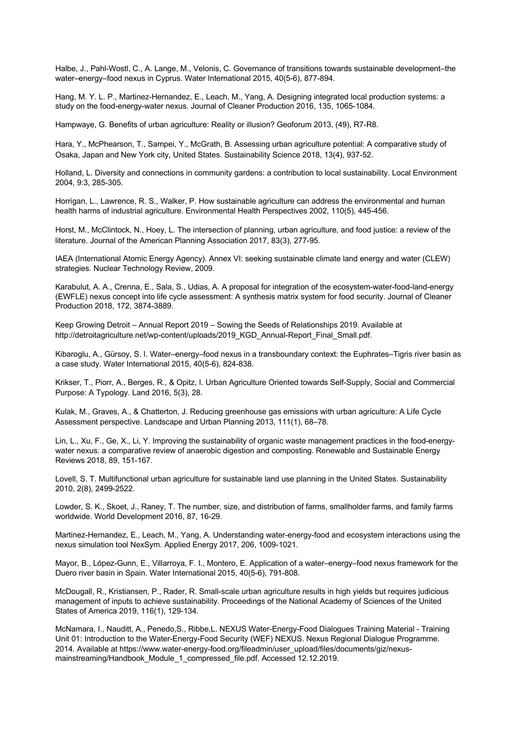Halbe, J., Pahl-Wostl, C., A. Lange, M., Velonis, C. Governance of transitions towards sustainable development–the water–energy–food nexus in Cyprus. Water International 2015, 40(5-6), 877-894.

Hang, M. Y. L. P., Martinez-Hernandez, E., Leach, M., Yang, A. Designing integrated local production systems: a study on the food-energy-water nexus. Journal of Cleaner Production 2016, 135, 1065-1084.

Hampwaye, G. Benefits of urban agriculture: Reality or illusion? Geoforum 2013, (49), R7-R8.

Hara, Y., McPhearson, T., Sampei, Y., McGrath, B. Assessing urban agriculture potential: A comparative study of Osaka, Japan and New York city, United States. Sustainability Science 2018, 13(4), 937-52.

Holland, L. Diversity and connections in community gardens: a contribution to local sustainability. Local Environment 2004, 9:3, 285-305.

Horrigan, L., Lawrence, R. S., Walker, P. How sustainable agriculture can address the environmental and human health harms of industrial agriculture. Environmental Health Perspectives 2002, 110(5), 445-456.

Horst, M., McClintock, N., Hoey, L. The intersection of planning, urban agriculture, and food justice: a review of the literature. Journal of the American Planning Association 2017, 83(3), 277-95.

IAEA (International Atomic Energy Agency). Annex VI: seeking sustainable climate land energy and water (CLEW) strategies. Nuclear Technology Review, 2009.

Karabulut, A. A., Crenna, E., Sala, S., Udias, A. A proposal for integration of the ecosystem-water-food-land-energy (EWFLE) nexus concept into life cycle assessment: A synthesis matrix system for food security. Journal of Cleaner Production 2018, 172, 3874-3889.

Keep Growing Detroit – Annual Report 2019 – Sowing the Seeds of Relationships 2019. Available at http://detroitagriculture.net/wp-content/uploads/2019\_KGD\_Annual-Report\_Final\_Small.pdf.

Kibaroglu, A., Gürsoy, S. I. Water–energy–food nexus in a transboundary context: the Euphrates–Tigris river basin as a case study. Water International 2015, 40(5-6), 824-838.

Krikser, T., Piorr, A., Berges, R., & Opitz, I. Urban Agriculture Oriented towards Self-Supply, Social and Commercial Purpose: A Typology. Land 2016, 5(3), 28.

Kulak, M., Graves, A., & Chatterton, J. Reducing greenhouse gas emissions with urban agriculture: A Life Cycle Assessment perspective. Landscape and Urban Planning 2013, 111(1), 68–78.

Lin, L., Xu, F., Ge, X., Li, Y. Improving the sustainability of organic waste management practices in the food-energywater nexus: a comparative review of anaerobic digestion and composting. Renewable and Sustainable Energy Reviews 2018, 89, 151-167.

Lovell, S. T. Multifunctional urban agriculture for sustainable land use planning in the United States. Sustainability 2010, 2(8), 2499-2522.

Lowder, S. K., Skoet, J., Raney, T. The number, size, and distribution of farms, smallholder farms, and family farms worldwide. World Development 2016, 87, 16-29.

Martinez-Hernandez, E., Leach, M., Yang, A. Understanding water-energy-food and ecosystem interactions using the nexus simulation tool NexSym. Applied Energy 2017, 206, 1009-1021.

Mayor, B., López-Gunn, E., Villarroya, F. I., Montero, E. Application of a water–energy–food nexus framework for the Duero river basin in Spain. Water International 2015, 40(5-6), 791-808.

McDougall, R., Kristiansen, P., Rader, R. Small-scale urban agriculture results in high yields but requires judicious management of inputs to achieve sustainability. Proceedings of the National Academy of Sciences of the United States of America 2019, 116(1), 129-134.

McNamara, I., Nauditt, A., Penedo,S., Ribbe,L. NEXUS Water-Energy-Food Dialogues Training Material - Training Unit 01: Introduction to the Water-Energy-Food Security (WEF) NEXUS. Nexus Regional Dialogue Programme. 2014. Available at https://www.water-energy-food.org/fileadmin/user\_upload/files/documents/giz/nexusmainstreaming/Handbook\_Module\_1\_compressed\_file.pdf. Accessed 12.12.2019.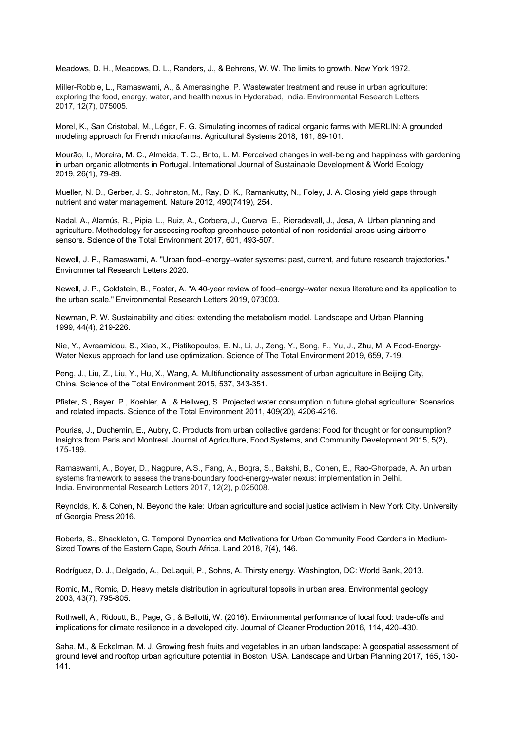Meadows, D. H., Meadows, D. L., Randers, J., & Behrens, W. W. The limits to growth. New York 1972.

Miller-Robbie, L., Ramaswami, A., & Amerasinghe, P. Wastewater treatment and reuse in urban agriculture: exploring the food, energy, water, and health nexus in Hyderabad, India. Environmental Research Letters 2017, 12(7), 075005.

Morel, K., San Cristobal, M., Léger, F. G. Simulating incomes of radical organic farms with MERLIN: A grounded modeling approach for French microfarms. Agricultural Systems 2018, 161, 89-101.

Mourão, I., Moreira, M. C., Almeida, T. C., Brito, L. M. Perceived changes in well-being and happiness with gardening in urban organic allotments in Portugal. International Journal of Sustainable Development & World Ecology 2019, 26(1), 79-89.

Mueller, N. D., Gerber, J. S., Johnston, M., Ray, D. K., Ramankutty, N., Foley, J. A. Closing yield gaps through nutrient and water management. Nature 2012, 490(7419), 254.

Nadal, A., Alamús, R., Pipia, L., Ruiz, A., Corbera, J., Cuerva, E., Rieradevall, J., Josa, A. Urban planning and agriculture. Methodology for assessing rooftop greenhouse potential of non-residential areas using airborne sensors. Science of the Total Environment 2017, 601, 493-507.

Newell, J. P., Ramaswami, A. "Urban food–energy–water systems: past, current, and future research trajectories." Environmental Research Letters 2020.

Newell, J. P., Goldstein, B., Foster, A. "A 40-year review of food–energy–water nexus literature and its application to the urban scale." Environmental Research Letters 2019, 073003.

Newman, P. W. Sustainability and cities: extending the metabolism model. Landscape and Urban Planning 1999, 44(4), 219-226.

Nie, Y., Avraamidou, S., Xiao, X., Pistikopoulos, E. N., Li, J., Zeng, Y., Song, F., Yu, J., Zhu, M. A Food-Energy-Water Nexus approach for land use optimization. Science of The Total Environment 2019, 659, 7-19.

Peng, J., Liu, Z., Liu, Y., Hu, X., Wang, A. Multifunctionality assessment of urban agriculture in Beijing City, China. Science of the Total Environment 2015, 537, 343-351.

Pfister, S., Bayer, P., Koehler, A., & Hellweg, S. Projected water consumption in future global agriculture: Scenarios and related impacts. Science of the Total Environment 2011, 409(20), 4206-4216.

Pourias, J., Duchemin, E., Aubry, C. Products from urban collective gardens: Food for thought or for consumption? Insights from Paris and Montreal. Journal of Agriculture, Food Systems, and Community Development 2015, 5(2), 175-199.

Ramaswami, A., Boyer, D., Nagpure, A.S., Fang, A., Bogra, S., Bakshi, B., Cohen, E., Rao-Ghorpade, A. An urban systems framework to assess the trans-boundary food-energy-water nexus: implementation in Delhi, India. Environmental Research Letters 2017, 12(2), p.025008.

Reynolds, K. & Cohen, N. Beyond the kale: Urban agriculture and social justice activism in New York City. University of Georgia Press 2016.

Roberts, S., Shackleton, C. Temporal Dynamics and Motivations for Urban Community Food Gardens in Medium-Sized Towns of the Eastern Cape, South Africa. Land 2018, 7(4), 146.

Rodríguez, D. J., Delgado, A., DeLaquil, P., Sohns, A. Thirsty energy. Washington, DC: World Bank, 2013.

Romic, M., Romic, D. Heavy metals distribution in agricultural topsoils in urban area. Environmental geology 2003, 43(7), 795-805.

Rothwell, A., Ridoutt, B., Page, G., & Bellotti, W. (2016). Environmental performance of local food: trade-offs and implications for climate resilience in a developed city. Journal of Cleaner Production 2016, 114, 420–430.

Saha, M., & Eckelman, M. J. Growing fresh fruits and vegetables in an urban landscape: A geospatial assessment of ground level and rooftop urban agriculture potential in Boston, USA. Landscape and Urban Planning 2017, 165, 130- 141.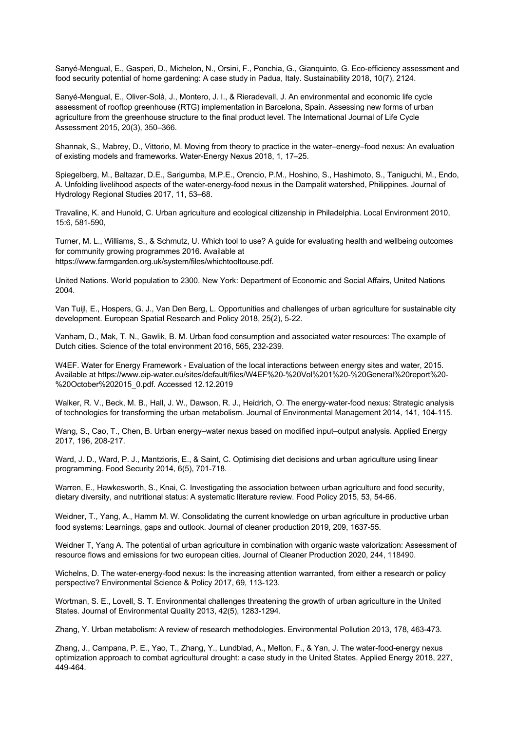Sanyé-Mengual, E., Gasperi, D., Michelon, N., Orsini, F., Ponchia, G., Gianquinto, G. Eco-efficiency assessment and food security potential of home gardening: A case study in Padua, Italy. Sustainability 2018, 10(7), 2124.

Sanyé-Mengual, E., Oliver-Solà, J., Montero, J. I., & Rieradevall, J. An environmental and economic life cycle assessment of rooftop greenhouse (RTG) implementation in Barcelona, Spain. Assessing new forms of urban agriculture from the greenhouse structure to the final product level. The International Journal of Life Cycle Assessment 2015, 20(3), 350–366.

Shannak, S., Mabrey, D., Vittorio, M. Moving from theory to practice in the water–energy–food nexus: An evaluation of existing models and frameworks. Water-Energy Nexus 2018, 1, 17–25.

Spiegelberg, M., Baltazar, D.E., Sarigumba, M.P.E., Orencio, P.M., Hoshino, S., Hashimoto, S., Taniguchi, M., Endo, A. Unfolding livelihood aspects of the water-energy-food nexus in the Dampalit watershed, Philippines. Journal of Hydrology Regional Studies 2017, 11, 53–68.

Travaline, K. and Hunold, C. Urban agriculture and ecological citizenship in Philadelphia. Local Environment 2010, 15:6, 581-590,

Turner, M. L., Williams, S., & Schmutz, U. Which tool to use? A guide for evaluating health and wellbeing outcomes for community growing programmes 2016. Available at https://www.farmgarden.org.uk/system/files/whichtooltouse.pdf.

United Nations. World population to 2300. New York: Department of Economic and Social Affairs, United Nations 2004.

Van Tuijl, E., Hospers, G. J., Van Den Berg, L. Opportunities and challenges of urban agriculture for sustainable city development. European Spatial Research and Policy 2018, 25(2), 5-22.

Vanham, D., Mak, T. N., Gawlik, B. M. Urban food consumption and associated water resources: The example of Dutch cities. Science of the total environment 2016, 565, 232-239.

W4EF. Water for Energy Framework - Evaluation of the local interactions between energy sites and water, 2015. Available at https://www.eip-water.eu/sites/default/files/W4EF%20-%20Vol%201%20-%20General%20report%20- %20October%202015\_0.pdf. Accessed 12.12.2019

Walker, R. V., Beck, M. B., Hall, J. W., Dawson, R. J., Heidrich, O. The energy-water-food nexus: Strategic analysis of technologies for transforming the urban metabolism. Journal of Environmental Management 2014, 141, 104-115.

Wang, S., Cao, T., Chen, B. Urban energy–water nexus based on modified input–output analysis. Applied Energy 2017, 196, 208-217.

Ward, J. D., Ward, P. J., Mantzioris, E., & Saint, C. Optimising diet decisions and urban agriculture using linear programming. Food Security 2014, 6(5), 701-718.

Warren, E., Hawkesworth, S., Knai, C. Investigating the association between urban agriculture and food security, dietary diversity, and nutritional status: A systematic literature review. Food Policy 2015, 53, 54-66.

Weidner, T., Yang, A., Hamm M. W. Consolidating the current knowledge on urban agriculture in productive urban food systems: Learnings, gaps and outlook. Journal of cleaner production 2019, 209, 1637-55.

Weidner T, Yang A. The potential of urban agriculture in combination with organic waste valorization: Assessment of resource flows and emissions for two european cities. Journal of Cleaner Production 2020, 244, 118490.

Wichelns, D. The water-energy-food nexus: Is the increasing attention warranted, from either a research or policy perspective? Environmental Science & Policy 2017, 69, 113-123.

Wortman, S. E., Lovell, S. T. Environmental challenges threatening the growth of urban agriculture in the United States. Journal of Environmental Quality 2013, 42(5), 1283-1294.

Zhang, Y. Urban metabolism: A review of research methodologies. Environmental Pollution 2013, 178, 463-473.

Zhang, J., Campana, P. E., Yao, T., Zhang, Y., Lundblad, A., Melton, F., & Yan, J. The water-food-energy nexus optimization approach to combat agricultural drought: a case study in the United States. Applied Energy 2018, 227, 449-464.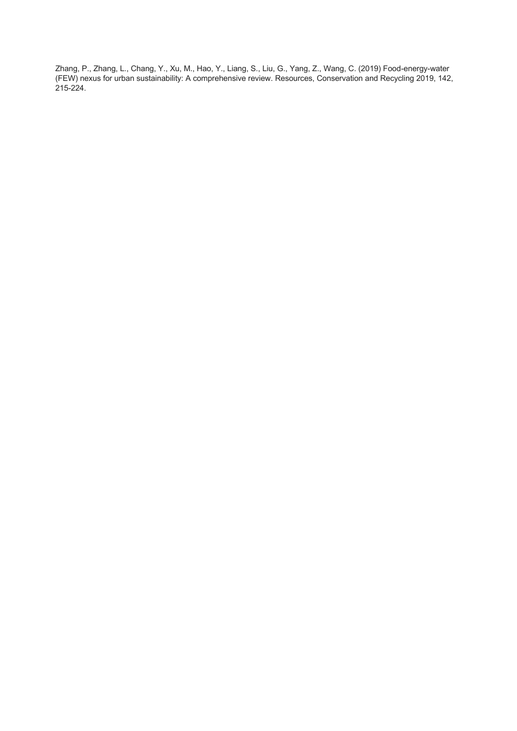Zhang, P., Zhang, L., Chang, Y., Xu, M., Hao, Y., Liang, S., Liu, G., Yang, Z., Wang, C. (2019) Food-energy-water (FEW) nexus for urban sustainability: A comprehensive review. Resources, Conservation and Recycling 2019, 142, 215-224.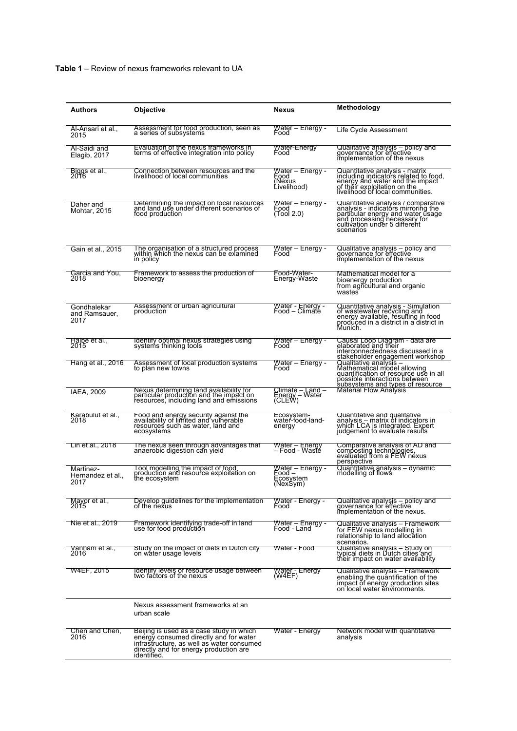| Authors                              | <b>Objective</b>                                                                                                                                                                         | Nexus                                                        | Methodology                                                                                                                                                                                   |
|--------------------------------------|------------------------------------------------------------------------------------------------------------------------------------------------------------------------------------------|--------------------------------------------------------------|-----------------------------------------------------------------------------------------------------------------------------------------------------------------------------------------------|
|                                      |                                                                                                                                                                                          |                                                              |                                                                                                                                                                                               |
| Al-Ansari et al.,<br>2015            | Assessment for food production, seen as<br>a series of subsystems                                                                                                                        | <u> W</u> ater – Energy -<br>Food                            | Life Cycle Assessment                                                                                                                                                                         |
| Al-Saidi and<br>Elagib, 2017         | Evaluation of the nexus frameworks in<br>terms of effective integration into policy                                                                                                      | Water-Energy<br>Food                                         | Qualitative analysis – policy and<br>governance for effective<br>implementation of the nexus                                                                                                  |
| Biggs et al.,<br>2016                | Connection between resources and the<br>livelihood of local communities                                                                                                                  | <u> W</u> ater – Energy -<br>Food<br>(Nexus<br>Livelihood)   | Quantitative analysis - matrix<br>including indicators related to food,<br>energy and water and the impact<br>of their exploitation on the<br>livelihood of local communities.                |
| Daher and<br>Mohtar, 2015            | Determining the impact on local resources<br>and land use under different scenarios of<br>food production                                                                                | Water – Energy -<br>Food<br>(Tool 2.0)                       | Quantitative analysis / comparative<br>analysis - indicatórs mirroring the<br>particular energy and water usage<br>and processing necessary for<br>cultivation under 5 different<br>scenarios |
| Gain et al., 2015                    | The organisation of a structured process<br>within which the nexus can be examined<br>in policy                                                                                          | <u> W</u> ater – Energy -<br>Food                            | Qualitative analysis – policy and<br>governance for effective<br>implementation of the nexus                                                                                                  |
| Garcia and You,<br>2018              | Framework to assess the production of<br>bioenergy                                                                                                                                       | Food-Water-<br>Energy-Waste                                  | Mathematical model for a<br>bioenergy production<br>from agricultural and organic<br>wastes                                                                                                   |
| Gondhalekar<br>and Ramsauer,<br>2017 | Assessment of urban agricultural<br>production                                                                                                                                           | <u>v</u> vater - Energy -<br>Food – Climate                  | Quantitative analysis - Simulation<br>of wastewater recycling and<br>energy available, resulting in food<br>produced in a district in a district in<br>Munich.                                |
| Halbe et al.,<br>2015                | Identity optimal nexus strategies using<br>systems thinking tools                                                                                                                        | <u> W</u> ater – Energy -<br>Food                            | Causal Loop Diagram - data are<br>elaborated and their<br>interconnectedness discussed in a<br>stakeholder engagement workshop                                                                |
| Hang et al., 2016                    | Assessment of local production systems<br>to plan new towns                                                                                                                              | <u> W</u> ater – Energy -<br>Food                            | Qualitative analysis –<br>Mathematical model allowing<br>quantification of resource use in all<br>possible interactions between<br>subsystems and types of resource                           |
| <b>IAEA, 2009</b>                    | Nexus determining land availability for<br>particular production and the impact on<br>resources, including land and emissions                                                            | Climate – Land –<br>Energy - Water<br>(CLEW)                 | <b>Material Flow Analysis</b>                                                                                                                                                                 |
| Karabulut et al.,<br>2018            | Food and energy security against the<br>availability of limited and vulnerable<br>resources such as water, land and<br>ecosystems                                                        | Ecosystem-<br>water-food-land-<br>energy                     | Quantitative and qualitative<br>analysis – matrix of indicators in<br>which LCA is integrated. Expert<br>judgement to evaluate results                                                        |
| Lin et al., 2018                     | The nexus seen through advantages that<br>anaerobic digestion can yield                                                                                                                  | Water - Energy<br>– Food - Wasté                             | Comparative analysis of AD and<br>composting technologies,<br>evaluated from a FEW nexus<br>perspective                                                                                       |
| Martinez-<br>Hernandez et al<br>2017 | Tool modelling the impact of food<br>production and resource exploitation on<br>the ecosystem                                                                                            | <u> W</u> ater – Energy -<br>- Food<br>Ecosystem<br>(NexSym) | Quantitative analysis – dynamic<br>modelling of flows                                                                                                                                         |
| Mayor et al.,<br>2015                | Develop guidelines for the implementation<br>of the nexus                                                                                                                                | Water - Energy -<br>Food                                     | Qualitative analysis – policy and<br>governance for effective<br>implementation of the nexus.                                                                                                 |
| Nie et al., 2019                     | Framework identifying trade-off in land<br>use for food production                                                                                                                       | Water – Energy -<br>Food - Land                              | Qualitative analysis – Framework<br>for FEW nexus modelling in<br>relationship to land allocation<br>scenarios.                                                                               |
| Vanham et al.,<br>2016               | Study on the impact of diets in Dutch city<br>on water usage levels                                                                                                                      | Water - Food                                                 | Qualitative analysis - Study on<br>typical diets in Dutch cities and<br>their impact on water availability                                                                                    |
| <b>W4EF, 2015</b>                    | Identify levels of resource usage between<br>two factors of the nexus                                                                                                                    | <u> Water -</u> Energy<br>(W4EF)                             | Qualitative analysis – Framework<br>enabling the quantification of the<br>impact of energy production sites<br>on local water environments.                                                   |
|                                      | Nexus assessment frameworks at an<br>urban scale                                                                                                                                         |                                                              |                                                                                                                                                                                               |
| Chen and Chen,<br>2016               | Beijing is used as a case study in which<br>energy consumed directly and for water<br>infrastructure, as well as water consumed<br>directly and for energy production are<br>identified. | Water - Energy                                               | Network model with quantitative<br>analysis                                                                                                                                                   |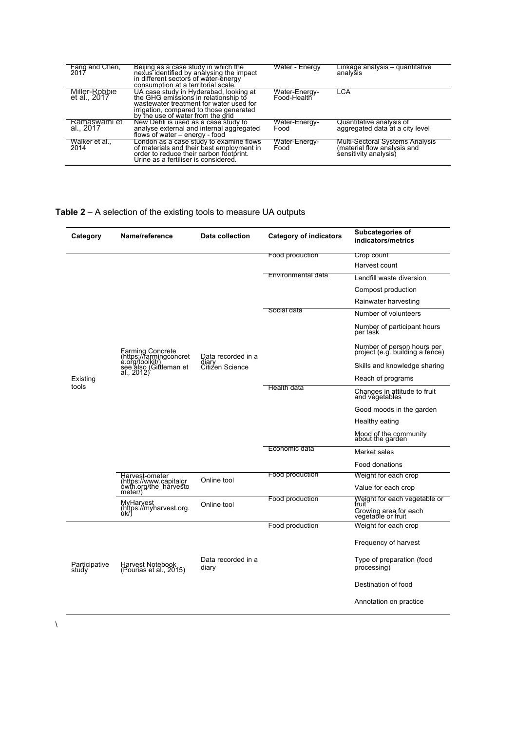| Fang and Chen,<br>2017        | Beijing as a case study in which the<br>nexus identified by analysing the impact<br>in different sectors of water-energy<br>consumption at a territorial scale.                                           | Water - Energy               | Linkage analysis – quantitative<br>analysis                                             |
|-------------------------------|-----------------------------------------------------------------------------------------------------------------------------------------------------------------------------------------------------------|------------------------------|-----------------------------------------------------------------------------------------|
| Miller-Robbie<br>et al., 2017 | UA case study in Hyderabad, looking at<br>the GHG emissions in relationship to<br>wastewater treatment for water used for<br>irrigation, compared to those generated<br>by the use of water from the grid | Water-Energy-<br>Food-Health | LCA                                                                                     |
| Ramaswami et<br>al., 2017     | New Dehli is used as a case study to<br>analyse external and internal aggregated<br>flows of water – energy - food                                                                                        | Water-Energy-<br>Food        | Quantitative analysis of<br>aggregated data at a city level                             |
| Walker et al.,<br>2014        | London as a case study to examine flows<br>of materials and their best employment in<br>order to reduce their carbon footprint.<br>Urine as a fertiliser is considered.                                   | Water-Energy-<br>Food        | Multi-Sectoral Systems Analysis<br>(material flow analysis and<br>sensitivity analysis) |

### **Table 2** – A selection of the existing tools to measure UA outputs

| Category               | Name/reference                                                                                         | <b>Data collection</b>      | <b>Category of indicators</b> | <b>Subcategories of</b><br>indicators/metrics                 |
|------------------------|--------------------------------------------------------------------------------------------------------|-----------------------------|-------------------------------|---------------------------------------------------------------|
|                        |                                                                                                        |                             | Food production               | Crop count                                                    |
|                        |                                                                                                        | Data recorded in a          |                               | Harvest count                                                 |
|                        |                                                                                                        |                             | Environmental data            | Landfill waste diversion                                      |
|                        |                                                                                                        |                             |                               | Compost production                                            |
|                        |                                                                                                        |                             |                               | Rainwater harvesting                                          |
|                        |                                                                                                        |                             | Social data                   | Number of volunteers                                          |
|                        |                                                                                                        |                             |                               | Number of participant hours<br>per task                       |
|                        | Farming Concrete<br>(https://farmingconcret<br>e.org/toolkit/)<br>see also (Gittleman et<br>al., 2012) |                             |                               | Number of person hours per<br>project (e.g. building a fence) |
|                        |                                                                                                        | diary<br>Citizen Science    |                               | Skills and knowledge sharing                                  |
| Existing               |                                                                                                        |                             |                               | Reach of programs                                             |
| tools                  |                                                                                                        |                             | <b>Health data</b>            | Changes in attitude to fruit<br>and vegetables                |
|                        |                                                                                                        |                             |                               | Good moods in the garden                                      |
|                        |                                                                                                        |                             |                               | Healthy eating                                                |
|                        |                                                                                                        |                             |                               | Mood of the community<br>about the garden                     |
|                        |                                                                                                        |                             | Economic data                 | Market sales                                                  |
|                        |                                                                                                        |                             |                               | Food donations                                                |
|                        | Harvest-ometer<br>(https://www.capitalgr<br>owth.org/the_harvesto<br>meter/)                           | Online tool                 | Food production               | Weight for each crop                                          |
|                        |                                                                                                        |                             |                               | Value for each crop                                           |
|                        | MyHarvest                                                                                              | Online tool                 | Food production               | Weight for each vegetable or<br>fruit                         |
|                        | (https://myharvest.org.                                                                                |                             |                               | Growing area for each<br>vegetable or fruit                   |
|                        |                                                                                                        |                             | Food production               | Weight for each crop                                          |
| Participative<br>study | Harvest Notebook<br>(Pourias et al., 2015)                                                             | Data recorded in a<br>diary |                               | Frequency of harvest                                          |
|                        |                                                                                                        |                             |                               | Type of preparation (food<br>processing)                      |
|                        |                                                                                                        |                             |                               | Destination of food                                           |
|                        |                                                                                                        |                             |                               | Annotation on practice                                        |

 $\chi$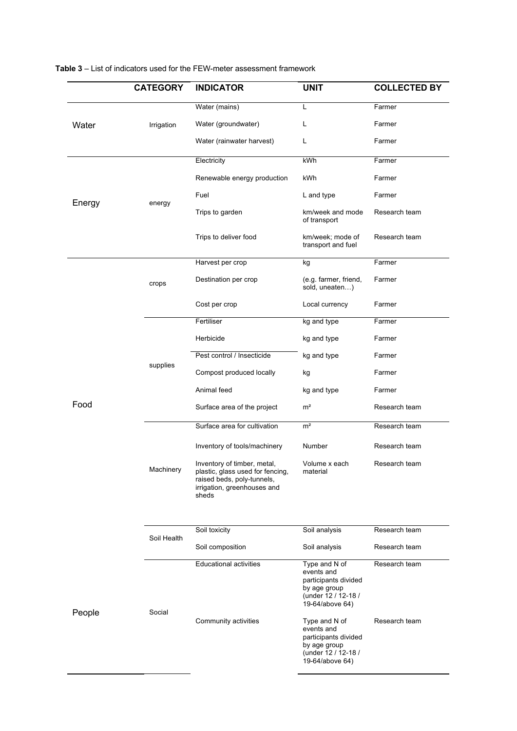|        | <b>CATEGORY</b> | <b>INDICATOR</b>                                                                                                                      | <b>UNIT</b>                                                                                                   | <b>COLLECTED BY</b> |
|--------|-----------------|---------------------------------------------------------------------------------------------------------------------------------------|---------------------------------------------------------------------------------------------------------------|---------------------|
|        |                 | Water (mains)                                                                                                                         | L                                                                                                             | Farmer              |
| Water  | Irrigation      | Water (groundwater)                                                                                                                   | L                                                                                                             | Farmer              |
|        |                 | Water (rainwater harvest)                                                                                                             | L                                                                                                             | Farmer              |
|        |                 | Electricity                                                                                                                           | kWh                                                                                                           | Farmer              |
|        |                 | Renewable energy production                                                                                                           | kWh                                                                                                           | Farmer              |
|        |                 | Fuel                                                                                                                                  | L and type                                                                                                    | Farmer              |
| Energy | energy          | Trips to garden                                                                                                                       | km/week and mode<br>of transport                                                                              | Research team       |
|        |                 | Trips to deliver food                                                                                                                 | km/week; mode of<br>transport and fuel                                                                        | Research team       |
|        |                 | Harvest per crop                                                                                                                      | kg                                                                                                            | Farmer              |
|        | crops           | Destination per crop                                                                                                                  | (e.g. farmer, friend,<br>sold, uneaten)                                                                       | Farmer              |
|        |                 | Cost per crop                                                                                                                         | Local currency                                                                                                | Farmer              |
|        |                 | Fertiliser                                                                                                                            | kg and type                                                                                                   | Farmer              |
|        |                 | Herbicide                                                                                                                             | kg and type                                                                                                   | Farmer              |
|        |                 | Pest control / Insecticide                                                                                                            | kg and type                                                                                                   | Farmer              |
| Food   | supplies        | Compost produced locally                                                                                                              | kg                                                                                                            | Farmer              |
|        |                 | Animal feed                                                                                                                           | kg and type                                                                                                   | Farmer              |
|        |                 | Surface area of the project                                                                                                           | m <sup>2</sup>                                                                                                | Research team       |
|        |                 | Surface area for cultivation                                                                                                          | m <sup>2</sup>                                                                                                | Research team       |
|        |                 | Inventory of tools/machinery                                                                                                          | Number                                                                                                        | Research team       |
|        | Machinery       | Inventory of timber, metal,<br>plastic, glass used for fencing,<br>raised beds, poly-tunnels,<br>irrigation, greenhouses and<br>sheds | Volume x each<br>material                                                                                     | Research team       |
|        |                 | Soil toxicity                                                                                                                         | Soil analysis                                                                                                 | Research team       |
|        | Soil Health     | Soil composition                                                                                                                      | Soil analysis                                                                                                 | Research team       |
|        |                 | <b>Educational activities</b>                                                                                                         | Type and N of                                                                                                 | Research team       |
| People | Social          |                                                                                                                                       | events and<br>participants divided<br>by age group<br>(under 12 / 12-18 /<br>19-64/above 64)                  |                     |
|        |                 | Community activities                                                                                                                  | Type and N of<br>events and<br>participants divided<br>by age group<br>(under 12 / 12-18 /<br>19-64/above 64) | Research team       |

| <b>Table 3</b> – List of indicators used for the FEW-meter assessment framework |  |  |
|---------------------------------------------------------------------------------|--|--|
|---------------------------------------------------------------------------------|--|--|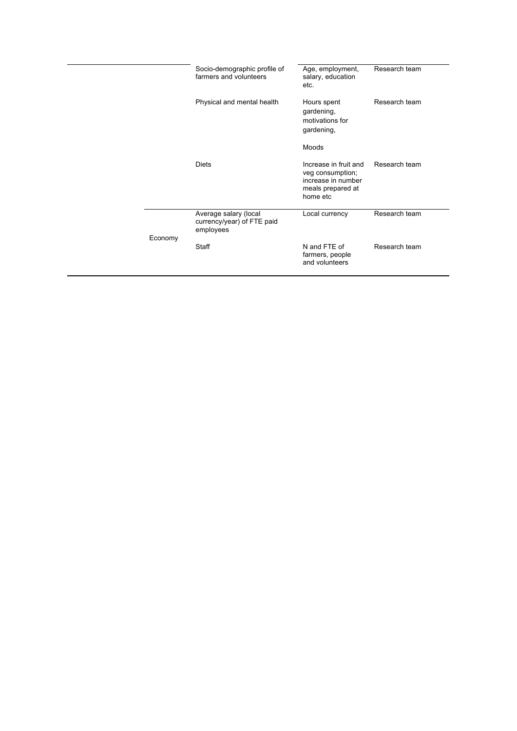|         | Socio-demographic profile of<br>farmers and volunteers           | Age, employment,<br>salary, education<br>etc.                                                    | Research team |
|---------|------------------------------------------------------------------|--------------------------------------------------------------------------------------------------|---------------|
|         | Physical and mental health                                       | Hours spent<br>gardening,<br>motivations for<br>gardening,                                       | Research team |
|         |                                                                  | Moods                                                                                            |               |
|         | <b>Diets</b>                                                     | Increase in fruit and<br>veg consumption;<br>increase in number<br>meals prepared at<br>home etc | Research team |
|         | Average salary (local<br>currency/year) of FTE paid<br>employees | Local currency                                                                                   | Research team |
| Economy | Staff                                                            | N and FTE of<br>farmers, people<br>and volunteers                                                | Research team |